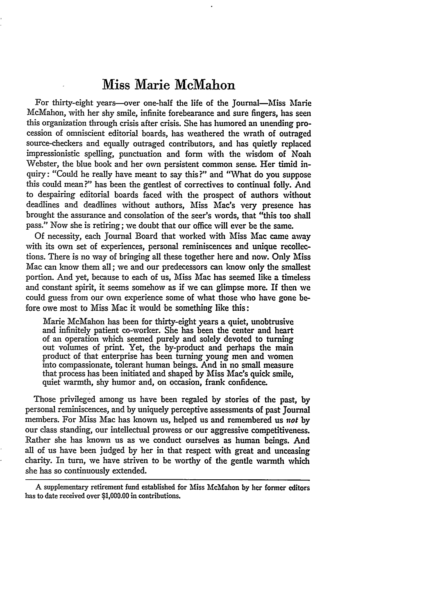## Miss Marie McMahon

For thirty-eight years--over one-half the life of the Journal-Miss Marie McMahon, with her shy smile, infinite forebearance and sure fingers, has seen this organization through crisis after crisis. She has humored an unending procession of omniscient editorial boards, has weathered the wrath of outraged source-checkers and equally outraged contributors, and has quietly replaced impressionistic spelling, punctuation and form with the wisdom of Noah Webster, the blue book and her own persistent common sense. Her timid inquiry: "Could he really have meant to say this ?" and "What do you suppose this could mean?" has been the gentlest of correctives to continual folly. And to despairing editorial boards faced with the prospect of authors without deadlines and deadlines without authors, Miss Mac's very presence has brought the assurance and consolation of the seer's words, that "this too shall pass." Now she is retiring; we doubt that our office will ever be the same.

Of necessity, each journal Board that worked with Miss Mac came away with its own set of experiences, personal reminiscences and unique recollections. There is no way of bringing all these together here and now. Only Miss Mac can know them all; we and our predecessors can know only the smallest portion. And yet, because to each of us, Miss Mac has seemed like a timeless and constant spirit, it seems somehow as if we can glimpse more. If then we could guess from our own experience some of what those who have gone before owe most to Miss Mac it would be something like this:

Marie McMahon has been for thirty-eight years a quiet, unobtrusive and infinitely patient co-worker. She has been the center and heart of an operation which seemed purely and solely devoted to turning out volumes of print. Yet, the by-product and perhaps the main product of that enterprise has been turning young men and women into compassionate, tolerant human beings. And in no small measure that process has been initiated and shaped by Miss Mac's quick smile, quiet warmth, shy humor and, on occasion, frank confidence.

Those privileged among us have been regaled by stories of the past, by personal reminiscences, and by uniquely perceptive assessments of past Journal members. For Miss Mac has known us, helped us and remembered us *not* by our class standing, our intellectual prowess or our aggressive competitiveness. Rather she has known us as we conduct ourselves as human beings. And all of us have been judged by her in that respect with great and unceasing charity. In turn, we have striven to be worthy of the gentle warmth which she has so continuously extended.

**A** supplementary retirement fund established for Miss McMahon **by** her former editors has to date received over **\$1,000.00** in contributions.